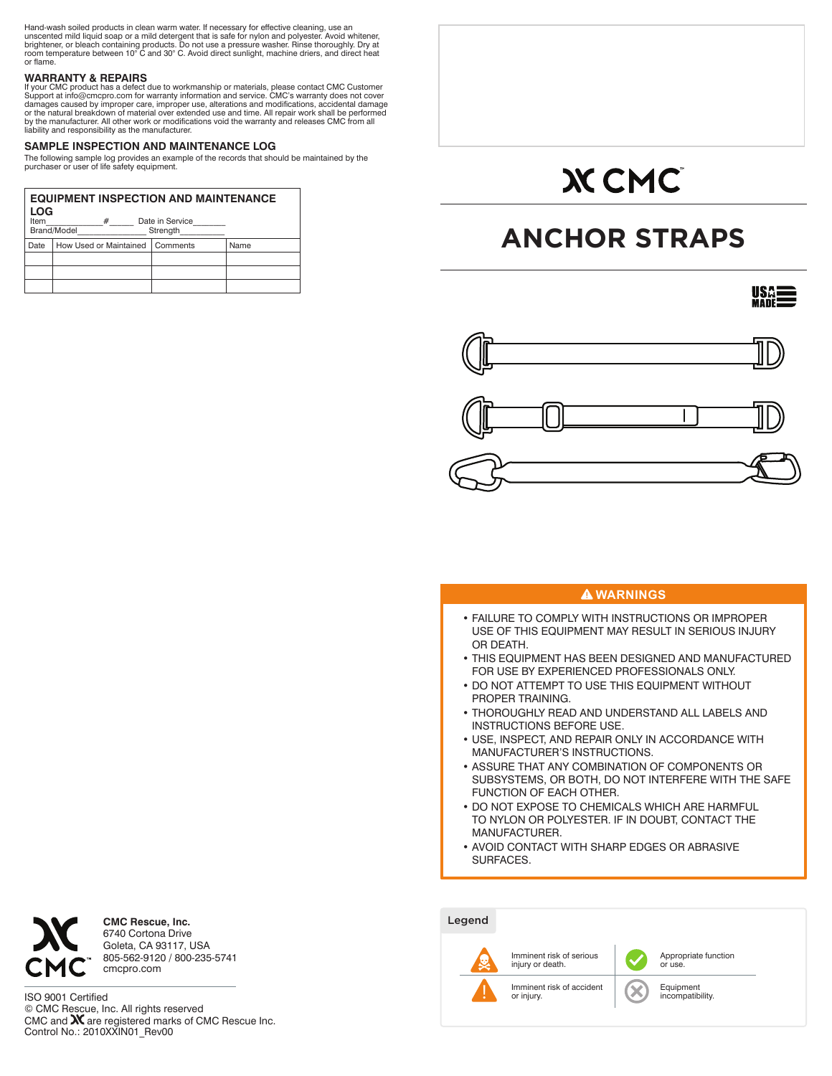Hand-wash soiled products in clean warm water. If necessary for effective cleaning, use an<br>unscented mild liquid soap or a mild detergent that is safe for nylon and polyester. Avoid whitener,<br>brightener, or bleach containi

# **WARRANTY & REPAIRS**

lf your CMC product has a defect due to workmanship or materials, please contact CMC Customer<br>Support at info@cmcpro.com for warranty information and service. CMC's warranty does not cover<br>damages caused by improper care, or the natural breakdown of material over extended use and time. All repair work shall be performed<br>by the manufacturer. All other work or modifications void the warranty and releases CMC from all<br>liability and responsibil

# **SAMPLE INSPECTION AND MAINTENANCE LOG**

The following sample log provides an example of the records that should be maintained by the purchaser or user of life safety equipment.

| <b>EQUIPMENT INSPECTION AND MAINTENANCE</b><br>LOG      |                        |          |      |  |  |  |
|---------------------------------------------------------|------------------------|----------|------|--|--|--|
| Date in Service<br>#<br>Item<br>Brand/Model<br>Strength |                        |          |      |  |  |  |
| Date                                                    | How Used or Maintained | Comments | Name |  |  |  |
|                                                         |                        |          |      |  |  |  |
|                                                         |                        |          |      |  |  |  |
|                                                         |                        |          |      |  |  |  |

# **XCMC**

# **ANCHOR STRAPS**

**USA:** 



# **WARNINGS**

- FAILURE TO COMPLY WITH INSTRUCTIONS OR IMPROPER USE OF THIS EQUIPMENT MAY RESULT IN SERIOUS INJURY OR DEATH.
- THIS EQUIPMENT HAS BEEN DESIGNED AND MANUFACTURED FOR USE BY EXPERIENCED PROFESSIONALS ONLY.
- DO NOT ATTEMPT TO USE THIS EQUIPMENT WITHOUT PROPER TRAINING.
- THOROUGHLY READ AND UNDERSTAND ALL LABELS AND INSTRUCTIONS BEFORE USE.
- USE, INSPECT, AND REPAIR ONLY IN ACCORDANCE WITH MANUFACTURER'S INSTRUCTIONS.
- ASSURE THAT ANY COMBINATION OF COMPONENTS OR SUBSYSTEMS, OR BOTH, DO NOT INTERFERE WITH THE SAFE FUNCTION OF EACH OTHER.
- DO NOT EXPOSE TO CHEMICALS WHICH ARE HARMFUL TO NYLON OR POLYESTER. IF IN DOUBT, CONTACT THE MANUFACTURER.
- AVOID CONTACT WITH SHARP EDGES OR ABRASIVE SURFACES.





**CMC Rescue, Inc.** 6740 Cortona Drive Goleta, CA 93117, USA 805-562-9120 / 800-235-5741 cmcpro.com

ISO 9001 Certified © CMC Rescue, Inc. All rights reserved CMC and **XX** are registered marks of CMC Rescue Inc.<br>Control No.: 2010XXIN01\_Rev00